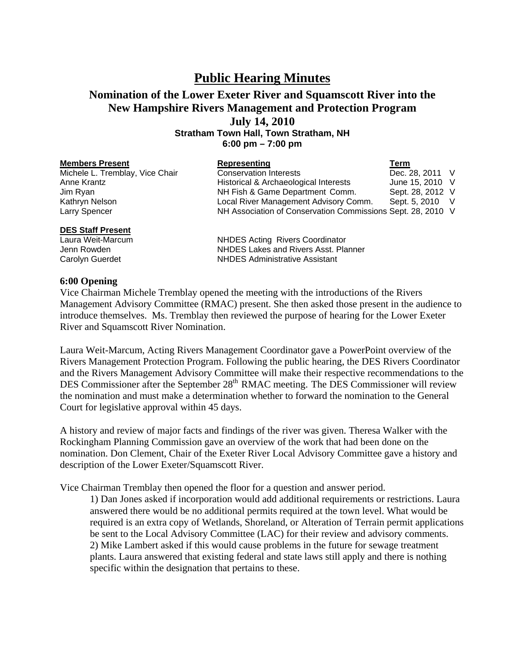## **Public Hearing Minutes**

## **Nomination of the Lower Exeter River and Squamscott River into the New Hampshire Rivers Management and Protection Program July 14, 2010**

**Stratham Town Hall, Town Stratham, NH 6:00 pm – 7:00 pm** 

| <b>Members Present</b>          | Representing                                                | Term             |  |
|---------------------------------|-------------------------------------------------------------|------------------|--|
| Michele L. Tremblay, Vice Chair | <b>Conservation Interests</b>                               | Dec. 28, 2011 V  |  |
| Anne Krantz                     | Historical & Archaeological Interests                       | June 15, 2010 V  |  |
| Jim Ryan                        | NH Fish & Game Department Comm.                             | Sept. 28, 2012 V |  |
| Kathryn Nelson                  | Local River Management Advisory Comm.                       | Sept. 5, 2010 V  |  |
| Larry Spencer                   | NH Association of Conservation Commissions Sept. 28, 2010 V |                  |  |
| <b>DES Staff Present</b>        |                                                             |                  |  |

Laura Weit-Marcum NHDES Acting Rivers Coordinator Jenn Rowden **NHDES** Lakes and Rivers Asst. Planner Carolyn Guerdet NHDES Administrative Assistant

## **6:00 Opening**

Vice Chairman Michele Tremblay opened the meeting with the introductions of the Rivers Management Advisory Committee (RMAC) present. She then asked those present in the audience to introduce themselves. Ms. Tremblay then reviewed the purpose of hearing for the Lower Exeter River and Squamscott River Nomination.

Laura Weit-Marcum, Acting Rivers Management Coordinator gave a PowerPoint overview of the Rivers Management Protection Program. Following the public hearing, the DES Rivers Coordinator and the Rivers Management Advisory Committee will make their respective recommendations to the DES Commissioner after the September 28<sup>th</sup> RMAC meeting. The DES Commissioner will review the nomination and must make a determination whether to forward the nomination to the General Court for legislative approval within 45 days.

A history and review of major facts and findings of the river was given. Theresa Walker with the Rockingham Planning Commission gave an overview of the work that had been done on the nomination. Don Clement, Chair of the Exeter River Local Advisory Committee gave a history and description of the Lower Exeter/Squamscott River.

Vice Chairman Tremblay then opened the floor for a question and answer period.

 1) Dan Jones asked if incorporation would add additional requirements or restrictions. Laura answered there would be no additional permits required at the town level. What would be required is an extra copy of Wetlands, Shoreland, or Alteration of Terrain permit applications be sent to the Local Advisory Committee (LAC) for their review and advisory comments. 2) Mike Lambert asked if this would cause problems in the future for sewage treatment plants. Laura answered that existing federal and state laws still apply and there is nothing specific within the designation that pertains to these.